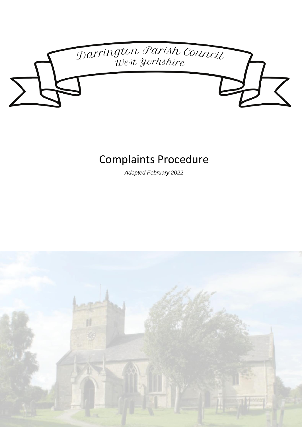

# Complaints Procedure

*Adopted February 2022*

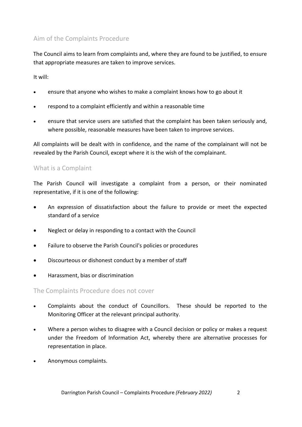## Aim of the Complaints Procedure

The Council aims to learn from complaints and, where they are found to be justified, to ensure that appropriate measures are taken to improve services.

It will:

- ensure that anyone who wishes to make a complaint knows how to go about it
- respond to a complaint efficiently and within a reasonable time
- ensure that service users are satisfied that the complaint has been taken seriously and, where possible, reasonable measures have been taken to improve services.

All complaints will be dealt with in confidence, and the name of the complainant will not be revealed by the Parish Council, except where it is the wish of the complainant.

#### What is a Complaint

The Parish Council will investigate a complaint from a person, or their nominated representative, if it is one of the following:

- An expression of dissatisfaction about the failure to provide or meet the expected standard of a service
- Neglect or delay in responding to a contact with the Council
- Failure to observe the Parish Council's policies or procedures
- Discourteous or dishonest conduct by a member of staff
- Harassment, bias or discrimination

The Complaints Procedure does not cover

- Complaints about the conduct of Councillors. These should be reported to the Monitoring Officer at the relevant principal authority.
- Where a person wishes to disagree with a Council decision or policy or makes a request under the Freedom of Information Act, whereby there are alternative processes for representation in place.
- Anonymous complaints.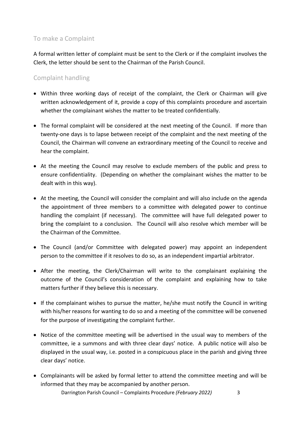### To make a Complaint

A formal written letter of complaint must be sent to the Clerk or if the complaint involves the Clerk, the letter should be sent to the Chairman of the Parish Council.

## Complaint handling

- Within three working days of receipt of the complaint, the Clerk or Chairman will give written acknowledgement of it, provide a copy of this complaints procedure and ascertain whether the complainant wishes the matter to be treated confidentially.
- The formal complaint will be considered at the next meeting of the Council. If more than twenty-one days is to lapse between receipt of the complaint and the next meeting of the Council, the Chairman will convene an extraordinary meeting of the Council to receive and hear the complaint.
- At the meeting the Council may resolve to exclude members of the public and press to ensure confidentiality. (Depending on whether the complainant wishes the matter to be dealt with in this way).
- At the meeting, the Council will consider the complaint and will also include on the agenda the appointment of three members to a committee with delegated power to continue handling the complaint (if necessary). The committee will have full delegated power to bring the complaint to a conclusion. The Council will also resolve which member will be the Chairman of the Committee.
- The Council (and/or Committee with delegated power) may appoint an independent person to the committee if it resolves to do so, as an independent impartial arbitrator.
- After the meeting, the Clerk/Chairman will write to the complainant explaining the outcome of the Council's consideration of the complaint and explaining how to take matters further if they believe this is necessary.
- If the complainant wishes to pursue the matter, he/she must notify the Council in writing with his/her reasons for wanting to do so and a meeting of the committee will be convened for the purpose of investigating the complaint further.
- Notice of the committee meeting will be advertised in the usual way to members of the committee, ie a summons and with three clear days' notice. A public notice will also be displayed in the usual way, i.e. posted in a conspicuous place in the parish and giving three clear days' notice.
- Darrington Parish Council Complaints Procedure *(February 2022)* 3 • Complainants will be asked by formal letter to attend the committee meeting and will be informed that they may be accompanied by another person.